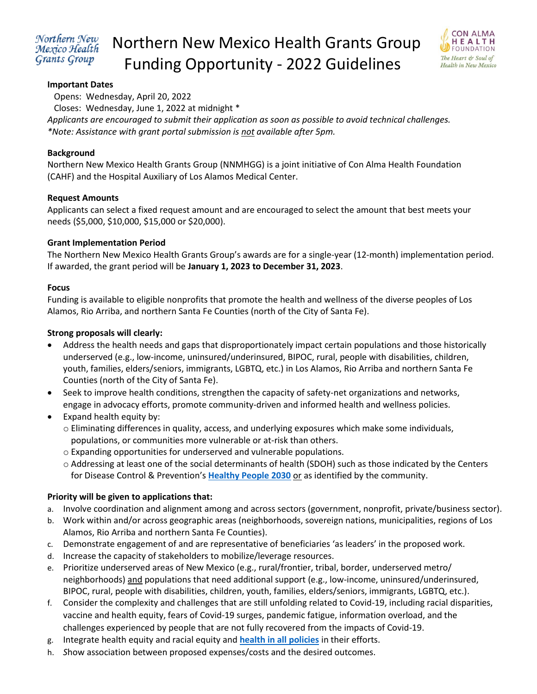#### Northern New Mexico Health Grants Group

# Northern New Mexico Health Grants Group Funding Opportunity - 2022 Guidelines



## **Important Dates**

Opens: Wednesday, April 20, 2022

Closes: Wednesday, June 1, 2022 at midnight \*

*Applicants are encouraged to submit their application as soon as possible to avoid technical challenges. \*Note: Assistance with grant portal submission is not available after 5pm.* 

#### **Background**

Northern New Mexico Health Grants Group (NNMHGG) is a joint initiative of Con Alma Health Foundation (CAHF) and the Hospital Auxiliary of Los Alamos Medical Center.

#### **Request Amounts**

Applicants can select a fixed request amount and are encouraged to select the amount that best meets your needs (\$5,000, \$10,000, \$15,000 or \$20,000).

#### **Grant Implementation Period**

The Northern New Mexico Health Grants Group's awards are for a single-year (12-month) implementation period. If awarded, the grant period will be **January 1, 2023 to December 31, 2023**.

#### **Focus**

Funding is available to eligible nonprofits that promote the health and wellness of the diverse peoples of Los Alamos, Rio Arriba, and northern Santa Fe Counties (north of the City of Santa Fe).

#### **Strong proposals will clearly:**

- Address the health needs and gaps that disproportionately impact certain populations and those historically underserved (e.g., low-income, uninsured/underinsured, BIPOC, rural, people with disabilities, children, youth, families, elders/seniors, immigrants, LGBTQ, etc.) in Los Alamos, Rio Arriba and northern Santa Fe Counties (north of the City of Santa Fe).
- Seek to improve health conditions, strengthen the capacity of safety-net organizations and networks, engage in advocacy efforts, promote community-driven and informed health and wellness policies.
- Expand health equity by:
	- o Eliminating differences in quality, access, and underlying exposures which make some individuals, populations, or communities more vulnerable or at-risk than others.
	- o Expanding opportunities for underserved and vulnerable populations.
	- o Addressing at least one of the social determinants of health (SDOH) such as those indicated by the Centers for Disease Control & Prevention's **[Healthy People 2030](https://health.gov/healthypeople/objectives-and-data/social-determinants-health)** or as identified by the community.

## **Priority will be given to applications that:**

- a. Involve coordination and alignment among and across sectors (government, nonprofit, private/business sector).
- b. Work within and/or across geographic areas (neighborhoods, sovereign nations, municipalities, regions of Los Alamos, Rio Arriba and northern Santa Fe Counties).
- c. Demonstrate engagement of and are representative of beneficiaries 'as leaders' in the proposed work.
- d. Increase the capacity of stakeholders to mobilize/leverage resources.
- e. Prioritize underserved areas of New Mexico (e.g., rural/frontier, tribal, border, underserved metro/ neighborhoods) and populations that need additional support (e.g., low-income, uninsured/underinsured, BIPOC, rural, people with disabilities, children, youth, families, elders/seniors, immigrants, LGBTQ, etc.).
- f. Consider the complexity and challenges that are still unfolding related to Covid-19, including racial disparities, vaccine and health equity, fears of Covid-19 surges, pandemic fatigue, information overload, and the challenges experienced by people that are not fully recovered from the impacts of Covid-19.
- g. Integrate health equity and racial equity and **[health in all policies](https://www.nmvoices.org/archives/15650#:~:text=Ultimately%2C%20we%20propose%20a%20%E2%80%9Chealth-in-all-policies%E2%80%9D%20approach%20for%20New,all%20levels%20of%20government%20and%20all%20policy%20areas.)** in their efforts.
- h. *S*how association between proposed expenses/costs and the desired outcomes.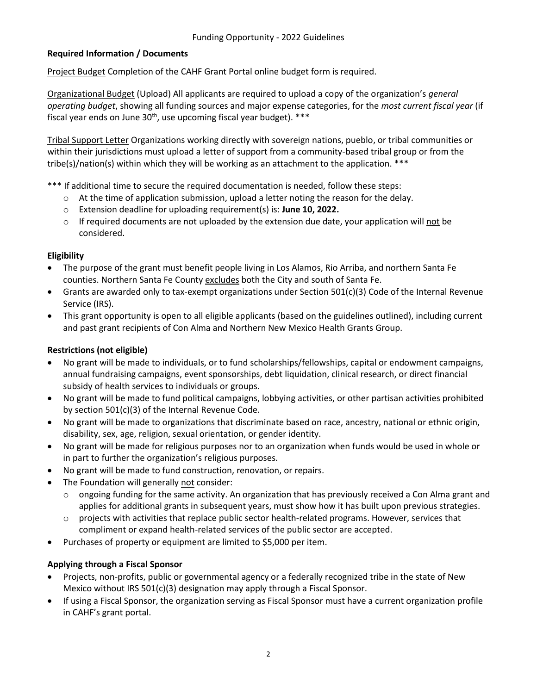# **Required Information / Documents**

Project Budget Completion of the CAHF Grant Portal online budget form is required.

Organizational Budget (Upload) All applicants are required to upload a copy of the organization's *general operating budget*, showing all funding sources and major expense categories, for the *most current fiscal year* (if fiscal year ends on June  $30<sup>th</sup>$ , use upcoming fiscal year budget).  $***$ 

Tribal Support Letter Organizations working directly with sovereign nations, pueblo, or tribal communities or within their jurisdictions must upload a letter of support from a community-based tribal group or from the tribe(s)/nation(s) within which they will be working as an attachment to the application. \*\*\*

\*\*\* If additional time to secure the required documentation is needed, follow these steps:

- $\circ$  At the time of application submission, upload a letter noting the reason for the delay.
- o Extension deadline for uploading requirement(s) is: **June 10, 2022.**
- $\circ$  If required documents are not uploaded by the extension due date, your application will not be considered.

## **Eligibility**

- The purpose of the grant must benefit people living in Los Alamos, Rio Arriba, and northern Santa Fe counties. Northern Santa Fe County excludes both the City and south of Santa Fe.
- Grants are awarded only to tax-exempt organizations under Section 501(c)(3) Code of the Internal Revenue Service (IRS).
- This grant opportunity is open to all eligible applicants (based on the guidelines outlined), including current and past grant recipients of Con Alma and Northern New Mexico Health Grants Group.

## **Restrictions (not eligible)**

- No grant will be made to individuals, or to fund scholarships/fellowships, capital or endowment campaigns, annual fundraising campaigns, event sponsorships, debt liquidation, clinical research, or direct financial subsidy of health services to individuals or groups.
- No grant will be made to fund political campaigns, lobbying activities, or other partisan activities prohibited by section 501(c)(3) of the Internal Revenue Code.
- No grant will be made to organizations that discriminate based on race, ancestry, national or ethnic origin, disability, sex, age, religion, sexual orientation, or gender identity.
- No grant will be made for religious purposes nor to an organization when funds would be used in whole or in part to further the organization's religious purposes.
- No grant will be made to fund construction, renovation, or repairs.
- The Foundation will generally not consider:
	- $\circ$  ongoing funding for the same activity. An organization that has previously received a Con Alma grant and applies for additional grants in subsequent years, must show how it has built upon previous strategies.
	- $\circ$  projects with activities that replace public sector health-related programs. However, services that compliment or expand health-related services of the public sector are accepted.
- Purchases of property or equipment are limited to \$5,000 per item.

## **Applying through a Fiscal Sponsor**

- Projects, non-profits, public or governmental agency or a federally recognized tribe in the state of New Mexico without IRS 501(c)(3) designation may apply through a Fiscal Sponsor.
- If using a Fiscal Sponsor, the organization serving as Fiscal Sponsor must have a current organization profile in CAHF's grant portal.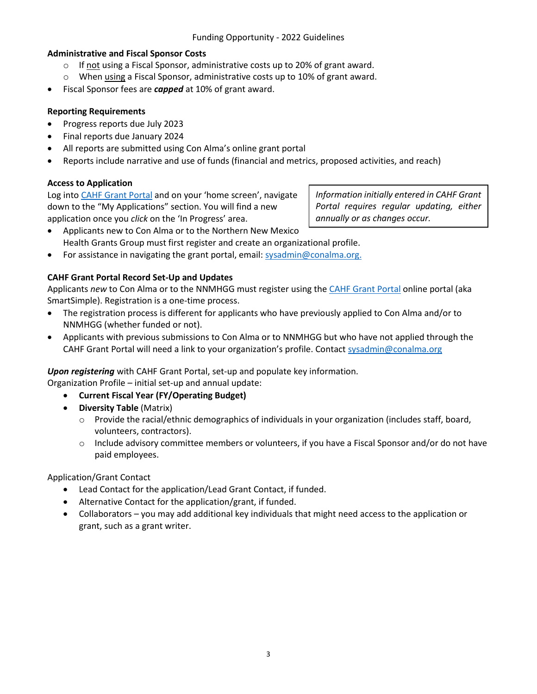## **Administrative and Fiscal Sponsor Costs**

- $\circ$  If not using a Fiscal Sponsor, administrative costs up to 20% of grant award.
- o When using a Fiscal Sponsor, administrative costs up to 10% of grant award.
- Fiscal Sponsor fees are *capped* at 10% of grant award.

## **Reporting Requirements**

- Progress reports due July 2023
- Final reports due January 2024
- All reports are submitted using Con Alma's online grant portal
- Reports include narrative and use of funds (financial and metrics, proposed activities, and reach)

# **Access to Application**

Log into [CAHF Grant Portal](https://conalmahealth.smartsimple.com/s_Login.jsp?lang=1&prole=0) and on your 'home screen', navigate down to the "My Applications" section. You will find a new application once you *click* on the 'In Progress' area.

*Information initially entered in CAHF Grant Portal requires regular updating, either annually or as changes occur.* 

- Applicants new to Con Alma or to the Northern New Mexico Health Grants Group must first register and create an organizational profile.
- For assistance in navigating the grant portal, email[: sysadmin@conalma.org.](mailto:sysadmin@conalma.org)

# **CAHF Grant Portal Record Set-Up and Updates**

Applicants *new* to Con Alma or to the NNMHGG must register using th[e CAHF Grant Portal](https://conalmahealth.smartsimple.com/s_Login.jsp) online portal (aka SmartSimple). Registration is a one-time process.

- The registration process is different for applicants who have previously applied to Con Alma and/or to NNMHGG (whether funded or not).
- Applicants with previous submissions to Con Alma or to NNMHGG but who have not applied through the CAHF Grant Portal will need a link to your organization's profile. Contact [sysadmin@conalma.org](mailto:sysadmin@conalma.org)

## *Upon registering* with CAHF Grant Portal, set-up and populate key information.

Organization Profile – initial set-up and annual update:

- **Current Fiscal Year (FY/Operating Budget)**
- **Diversity Table** (Matrix)
	- o Provide the racial/ethnic demographics of individuals in your organization (includes staff, board, volunteers, contractors).
	- o Include advisory committee members or volunteers, if you have a Fiscal Sponsor and/or do not have paid employees.

## Application/Grant Contact

- Lead Contact for the application/Lead Grant Contact, if funded.
- Alternative Contact for the application/grant, if funded.
- Collaborators you may add additional key individuals that might need access to the application or grant, such as a grant writer.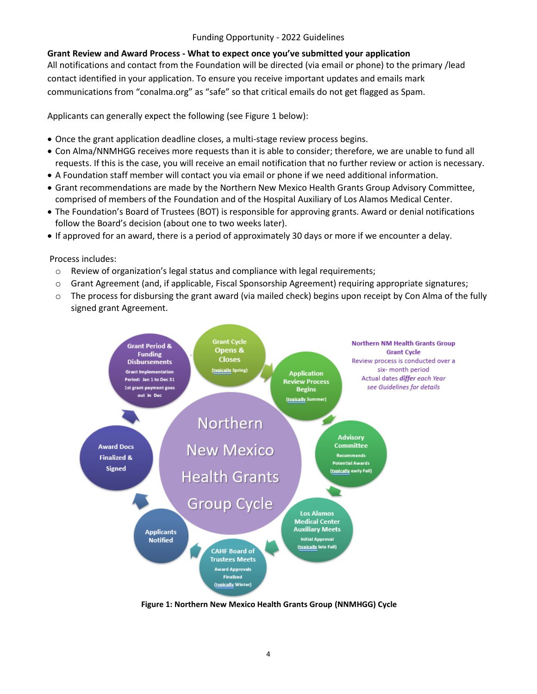#### Funding Opportunity - 2022 Guidelines

#### **Grant Review and Award Process - What to expect once you've submitted your application**

All notifications and contact from the Foundation will be directed (via email or phone) to the primary /lead contact identified in your application. To ensure you receive important updates and emails mark communications from "conalma.org" as "safe" so that critical emails do not get flagged as Spam.

Applicants can generally expect the following (see Figure 1 below):

- Once the grant application deadline closes, a multi-stage review process begins.
- Con Alma/NNMHGG receives more requests than it is able to consider; therefore, we are unable to fund all requests. If this is the case, you will receive an email notification that no further review or action is necessary.
- A Foundation staff member will contact you via email or phone if we need additional information.
- Grant recommendations are made by the Northern New Mexico Health Grants Group Advisory Committee, comprised of members of the Foundation and of the Hospital Auxiliary of Los Alamos Medical Center.
- The Foundation's Board of Trustees (BOT) is responsible for approving grants. Award or denial notifications follow the Board's decision (about one to two weeks later).
- If approved for an award, there is a period of approximately 30 days or more if we encounter a delay.

Process includes:

- $\circ$  Review of organization's legal status and compliance with legal requirements;
- o Grant Agreement (and, if applicable, Fiscal Sponsorship Agreement) requiring appropriate signatures;
- o The process for disbursing the grant award (via mailed check) begins upon receipt by Con Alma of the fully signed grant Agreement.



**Figure 1: Northern New Mexico Health Grants Group (NNMHGG) Cycle**